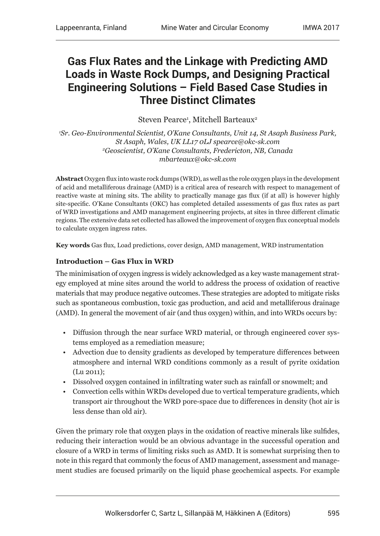# **Gas Flux Rates and the Linkage with Predicting AMD Loads in Waste Rock Dumps, and Designing Practical Engineering Solutions – Field Based Case Studies in Three Distinct Climates**

Steven Pearce<sup>1</sup>, Mitchell Barteaux<sup>2</sup>

*1 Sr. Geo-Environmental Scientist, O'Kane Consultants, Unit 14, St Asaph Business Park, St Asaph, Wales, UK LL17 0LJ spearce@okc-sk.com 2 Geoscientist, O'Kane Consultants, Fredericton, NB, Canada mbarteaux@okc-sk.com*

**Abstract** Oxygen flux into waste rock dumps (WRD), as well as the role oxygen plays in the development of acid and metalliferous drainage (AMD) is a critical area of research with respect to management of reactive waste at mining sits. The ability to practically manage gas flux (if at all) is however highly site-specific. O'Kane Consultants (OKC) has completed detailed assessments of gas flux rates as part of WRD investigations and AMD management engineering projects, at sites in three different climatic regions. The extensive data set collected has allowed the improvement of oxygen flux conceptual models to calculate oxygen ingress rates.

**Key words** Gas flux, Load predictions, cover design, AMD management, WRD instrumentation

#### **Introduction – Gas Flux in WRD**

The minimisation of oxygen ingress is widely acknowledged as a key waste management strategy employed at mine sites around the world to address the process of oxidation of reactive materials that may produce negative outcomes. These strategies are adopted to mitigate risks such as spontaneous combustion, toxic gas production, and acid and metalliferous drainage (AMD). In general the movement of air (and thus oxygen) within, and into WRDs occurs by:

- Diffusion through the near surface WRD material, or through engineered cover systems employed as a remediation measure;
- Advection due to density gradients as developed by temperature differences between atmosphere and internal WRD conditions commonly as a result of pyrite oxidation (Lu 2011);
- Dissolved oxygen contained in infiltrating water such as rainfall or snowmelt; and
- Convection cells within WRDs developed due to vertical temperature gradients, which transport air throughout the WRD pore-space due to differences in density (hot air is less dense than old air).

Given the primary role that oxygen plays in the oxidation of reactive minerals like sulfides, reducing their interaction would be an obvious advantage in the successful operation and closure of a WRD in terms of limiting risks such as AMD. It is somewhat surprising then to note in this regard that commonly the focus of AMD management, assessment and management studies are focused primarily on the liquid phase geochemical aspects. For example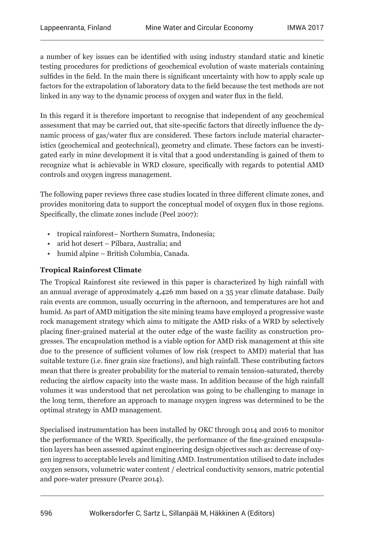a number of key issues can be identified with using industry standard static and kinetic testing procedures for predictions of geochemical evolution of waste materials containing sulfides in the field. In the main there is significant uncertainty with how to apply scale up factors for the extrapolation of laboratory data to the field because the test methods are not linked in any way to the dynamic process of oxygen and water flux in the field.

In this regard it is therefore important to recognise that independent of any geochemical assessment that may be carried out, that site-specific factors that directly influence the dynamic process of gas/water flux are considered. These factors include material characteristics (geochemical and geotechnical), geometry and climate. These factors can be investigated early in mine development it is vital that a good understanding is gained of them to recognize what is achievable in WRD closure, specifically with regards to potential AMD controls and oxygen ingress management.

The following paper reviews three case studies located in three different climate zones, and provides monitoring data to support the conceptual model of oxygen flux in those regions. Specifically, the climate zones include (Peel 2007):

- tropical rainforest– Northern Sumatra, Indonesia;
- arid hot desert Pilbara, Australia; and
- humid alpine British Columbia, Canada.

#### **Tropical Rainforest Climate**

The Tropical Rainforest site reviewed in this paper is characterized by high rainfall with an annual average of approximately 4,426 mm based on a 35 year climate database. Daily rain events are common, usually occurring in the afternoon, and temperatures are hot and humid. As part of AMD mitigation the site mining teams have employed a progressive waste rock management strategy which aims to mitigate the AMD risks of a WRD by selectively placing finer-grained material at the outer edge of the waste facility as construction progresses. The encapsulation method is a viable option for AMD risk management at this site due to the presence of sufficient volumes of low risk (respect to AMD) material that has suitable texture (i.e. finer grain size fractions), and high rainfall. These contributing factors mean that there is greater probability for the material to remain tension-saturated, thereby reducing the airflow capacity into the waste mass. In addition because of the high rainfall volumes it was understood that net percolation was going to be challenging to manage in the long term, therefore an approach to manage oxygen ingress was determined to be the optimal strategy in AMD management.

Specialised instrumentation has been installed by OKC through 2014 and 2016 to monitor the performance of the WRD. Specifically, the performance of the fine-grained encapsulation layers has been assessed against engineering design objectives such as: decrease of oxygen ingress to acceptable levels and limiting AMD. Instrumentation utilised to date includes oxygen sensors, volumetric water content / electrical conductivity sensors, matric potential and pore-water pressure (Pearce 2014).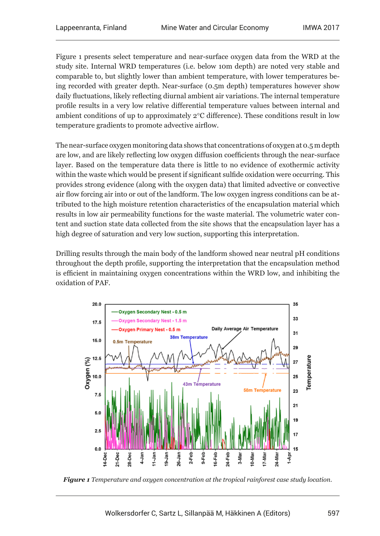Figure 1 presents select temperature and near-surface oxygen data from the WRD at the study site. Internal WRD temperatures (i.e. below 10m depth) are noted very stable and comparable to, but slightly lower than ambient temperature, with lower temperatures being recorded with greater depth. Near-surface (0.5m depth) temperatures however show daily fluctuations, likely reflecting diurnal ambient air variations. The internal temperature profile results in a very low relative differential temperature values between internal and ambient conditions of up to approximately 2°C difference). These conditions result in low temperature gradients to promote advective airflow.

The near-surface oxygen monitoring data shows that concentrations of oxygen at 0.5 m depth are low, and are likely reflecting low oxygen diffusion coefficients through the near-surface layer. Based on the temperature data there is little to no evidence of exothermic activity within the waste which would be present if significant sulfide oxidation were occurring. This provides strong evidence (along with the oxygen data) that limited advective or convective air flow forcing air into or out of the landform. The low oxygen ingress conditions can be attributed to the high moisture retention characteristics of the encapsulation material which results in low air permeability functions for the waste material. The volumetric water content and suction state data collected from the site shows that the encapsulation layer has a high degree of saturation and very low suction, supporting this interpretation.

Drilling results through the main body of the landform showed near neutral pH conditions throughout the depth profile, supporting the interpretation that the encapsulation method is efficient in maintaining oxygen concentrations within the WRD low, and inhibiting the oxidation of PAF.



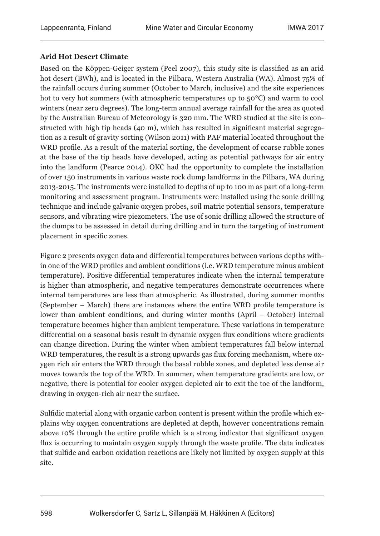### **Arid Hot Desert Climate**

Based on the Köppen-Geiger system (Peel 2007), this study site is classified as an arid hot desert (BWh), and is located in the Pilbara, Western Australia (WA). Almost 75% of the rainfall occurs during summer (October to March, inclusive) and the site experiences hot to very hot summers (with atmospheric temperatures up to  $50^{\circ}$ C) and warm to cool winters (near zero degrees). The long-term annual average rainfall for the area as quoted by the Australian Bureau of Meteorology is 320 mm. The WRD studied at the site is constructed with high tip heads (40 m), which has resulted in significant material segregation as a result of gravity sorting (Wilson 2011) with PAF material located throughout the WRD profile. As a result of the material sorting, the development of coarse rubble zones at the base of the tip heads have developed, acting as potential pathways for air entry into the landform (Pearce 2014). OKC had the opportunity to complete the installation of over 150 instruments in various waste rock dump landforms in the Pilbara, WA during 2013-2015. The instruments were installed to depths of up to 100 m as part of a long-term monitoring and assessment program. Instruments were installed using the sonic drilling technique and include galvanic oxygen probes, soil matric potential sensors, temperature sensors, and vibrating wire piezometers. The use of sonic drilling allowed the structure of the dumps to be assessed in detail during drilling and in turn the targeting of instrument placement in specific zones.

Figure 2 presents oxygen data and differential temperatures between various depths within one of the WRD profiles and ambient conditions (i.e. WRD temperature minus ambient temperature). Positive differential temperatures indicate when the internal temperature is higher than atmospheric, and negative temperatures demonstrate occurrences where internal temperatures are less than atmospheric. As illustrated, during summer months (September – March) there are instances where the entire WRD profile temperature is lower than ambient conditions, and during winter months (April – October) internal temperature becomes higher than ambient temperature. These variations in temperature differential on a seasonal basis result in dynamic oxygen flux conditions where gradients can change direction. During the winter when ambient temperatures fall below internal WRD temperatures, the result is a strong upwards gas flux forcing mechanism, where oxygen rich air enters the WRD through the basal rubble zones, and depleted less dense air moves towards the top of the WRD. In summer, when temperature gradients are low, or negative, there is potential for cooler oxygen depleted air to exit the toe of the landform, drawing in oxygen-rich air near the surface.

Sulfidic material along with organic carbon content is present within the profile which explains why oxygen concentrations are depleted at depth, however concentrations remain above 10% through the entire profile which is a strong indicator that significant oxygen flux is occurring to maintain oxygen supply through the waste profile. The data indicates that sulfide and carbon oxidation reactions are likely not limited by oxygen supply at this site.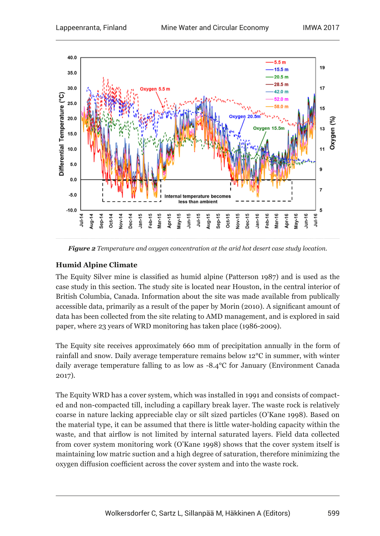

*Figure 2 Temperature and oxygen concentration at the arid hot desert case study location.*

## **Humid Alpine Climate**

The Equity Silver mine is classified as humid alpine (Patterson 1987) and is used as the case study in this section. The study site is located near Houston, in the central interior of British Columbia, Canada. Information about the site was made available from publically accessible data, primarily as a result of the paper by Morin (2010). A significant amount of data has been collected from the site relating to AMD management, and is explored in said paper, where 23 years of WRD monitoring has taken place (1986-2009).

The Equity site receives approximately 660 mm of precipitation annually in the form of rainfall and snow. Daily average temperature remains below 12°C in summer, with winter daily average temperature falling to as low as ‑8.4°C for January (Environment Canada 2017).

The Equity WRD has a cover system, which was installed in 1991 and consists of compacted and non-compacted till, including a capillary break layer. The waste rock is relatively coarse in nature lacking appreciable clay or silt sized particles (O'Kane 1998). Based on the material type, it can be assumed that there is little water-holding capacity within the waste, and that airflow is not limited by internal saturated layers. Field data collected from cover system monitoring work (O'Kane 1998) shows that the cover system itself is maintaining low matric suction and a high degree of saturation, therefore minimizing the oxygen diffusion coefficient across the cover system and into the waste rock.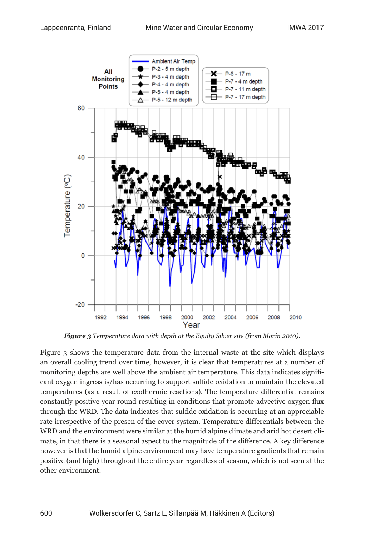

*Figure 3 Temperature data with depth at the Equity Silver site (from Morin 2010).*

Figure 3 shows the temperature data from the internal waste at the site which displays an overall cooling trend over time, however, it is clear that temperatures at a number of monitoring depths are well above the ambient air temperature. This data indicates significant oxygen ingress is/has occurring to support sulfide oxidation to maintain the elevated temperatures (as a result of exothermic reactions). The temperature differential remains constantly positive year round resulting in conditions that promote advective oxygen flux through the WRD. The data indicates that sulfide oxidation is occurring at an appreciable rate irrespective of the presen of the cover system. Temperature differentials between the WRD and the environment were similar at the humid alpine climate and arid hot desert climate, in that there is a seasonal aspect to the magnitude of the difference. A key difference however is that the humid alpine environment may have temperature gradients that remain positive (and high) throughout the entire year regardless of season, which is not seen at the other environment.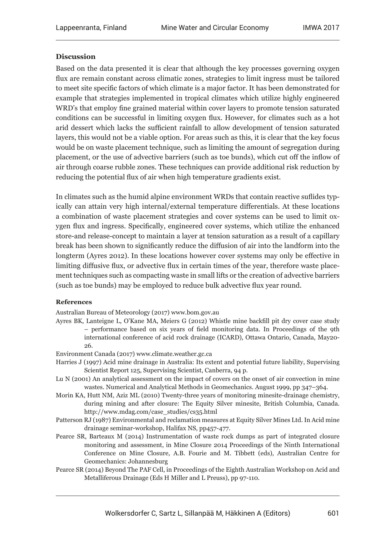#### **Discussion**

Based on the data presented it is clear that although the key processes governing oxygen flux are remain constant across climatic zones, strategies to limit ingress must be tailored to meet site specific factors of which climate is a major factor. It has been demonstrated for example that strategies implemented in tropical climates which utilize highly engineered WRD's that employ fine grained material within cover layers to promote tension saturated conditions can be successful in limiting oxygen flux. However, for climates such as a hot arid dessert which lacks the sufficient rainfall to allow development of tension saturated layers, this would not be a viable option. For areas such as this, it is clear that the key focus would be on waste placement technique, such as limiting the amount of segregation during placement, or the use of advective barriers (such as toe bunds), which cut off the inflow of air through coarse rubble zones. These techniques can provide additional risk reduction by reducing the potential flux of air when high temperature gradients exist.

In climates such as the humid alpine environment WRDs that contain reactive suflides typically can attain very high internal/external temperature differentials. At these locations a combination of waste placement strategies and cover systems can be used to limit oxygen flux and ingress. Specifically, engineered cover systems, which utilize the enhanced store-and release-concept to maintain a layer at tension saturation as a result of a capillary break has been shown to significantly reduce the diffusion of air into the landform into the longterm (Ayres 2012). In these locations however cover systems may only be effective in limiting diffusive flux, or advective flux in certain times of the year, therefore waste placement techniques such as compacting waste in small lifts or the creation of advective barriers (such as toe bunds) may be employed to reduce bulk advective flux year round.

#### **References**

Australian Bureau of Meteorology (2017) www.bom.gov.au

Ayres BK, Lanteigne L, O'Kane MA, Meiers G (2012) Whistle mine backfill pit dry cover case study – performance based on six years of field monitoring data. In Proceedings of the 9th international conference of acid rock drainage (ICARD), Ottawa Ontario, Canada, May20- 26.

Environment Canada (2017) www.climate.weather.gc.ca

- Harries J (1997) Acid mine drainage in Australia: Its extent and potential future liability, Supervising Scientist Report 125, Supervising Scientist, Canberra, 94 p.
- Lu N (2001) An analytical assessment on the impact of covers on the onset of air convection in mine wastes. Numerical and Analytical Methods in Geomechanics. August 1999, pp 347–364.
- Morin KA, Hutt NM, Aziz ML (2010) Twenty-three years of monitoring minesite-drainage chemistry, during mining and after closure: The Equity Silver minesite, British Columbia, Canada. http://www.mdag.com/case\_studies/cs35.html
- Patterson RJ (1987) Environmental and reclamation measures at Equity Silver Mines Ltd. In Acid mine drainage seminar-workshop, Halifax NS, pp457-477.
- Pearce SR, Barteaux M (2014) Instrumentation of waste rock dumps as part of integrated closure monitoring and assessment, in Mine Closure 2014 Proceedings of the Ninth International Conference on Mine Closure, A.B. Fourie and M. Tibbett (eds), Australian Centre for Geomechanics: Johannesburg
- Pearce SR (2014) Beyond The PAF Cell, in Proceedings of the Eighth Australian Workshop on Acid and Metalliferous Drainage (Eds H Miller and L Preuss), pp 97-110.